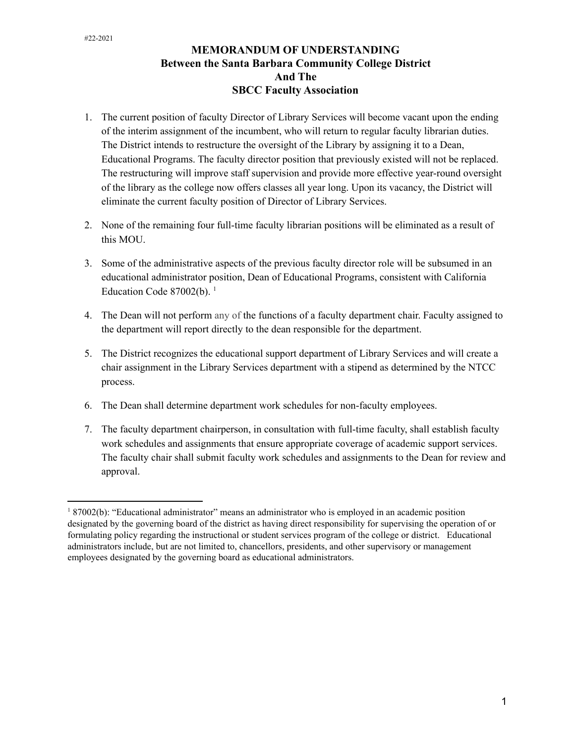## **MEMORANDUM OF UNDERSTANDING Between the Santa Barbara Community College District And The SBCC Faculty Association**

- 1. The current position of faculty Director of Library Services will become vacant upon the ending of the interim assignment of the incumbent, who will return to regular faculty librarian duties. The District intends to restructure the oversight of the Library by assigning it to a Dean, Educational Programs. The faculty director position that previously existed will not be replaced. The restructuring will improve staff supervision and provide more effective year-round oversight of the library as the college now offers classes all year long. Upon its vacancy, the District will eliminate the current faculty position of Director of Library Services.
- 2. None of the remaining four full-time faculty librarian positions will be eliminated as a result of this MOU.
- 3. Some of the administrative aspects of the previous faculty director role will be subsumed in an educational administrator position, Dean of Educational Programs, consistent with California Education Code 87002(b). $<sup>1</sup>$ </sup>
- 4. The Dean will not perform any of the functions of a faculty department chair. Faculty assigned to the department will report directly to the dean responsible for the department.
- 5. The District recognizes the educational support department of Library Services and will create a chair assignment in the Library Services department with a stipend as determined by the NTCC process.
- 6. The Dean shall determine department work schedules for non-faculty employees.
- 7. The faculty department chairperson, in consultation with full-time faculty, shall establish faculty work schedules and assignments that ensure appropriate coverage of academic support services. The faculty chair shall submit faculty work schedules and assignments to the Dean for review and approval.

<sup>1</sup> 87002(b): "Educational administrator" means an administrator who is employed in an academic position designated by the governing board of the district as having direct responsibility for supervising the operation of or formulating policy regarding the instructional or student services program of the college or district. Educational administrators include, but are not limited to, chancellors, presidents, and other supervisory or management employees designated by the governing board as educational administrators.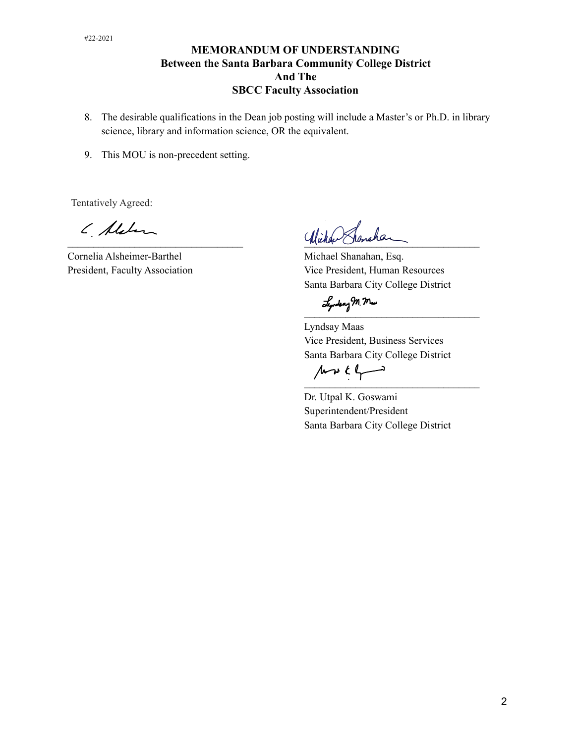## **MEMORANDUM OF UNDERSTANDING Between the Santa Barbara Community College District And The SBCC Faculty Association**

- 8. The desirable qualifications in the Dean job posting will include a Master's or Ph.D. in library science, library and information science, OR the equivalent.
- 9. This MOU is non-precedent setting.

Tentatively Agreed:

( Aleben

Cornelia Alsheimer-Barthel Michael Shanahan, Esq.

Wicher Shanchar

President, Faculty Association Vice President, Human Resources Santa Barbara City College District

 $\overline{\phantom{a}}$ 

Lyndsay Maas Vice President, Business Services Santa Barbara City College District

 $\mathcal{L}$  and  $\mathcal{L}$  and  $\mathcal{L}$  are the set of the set of the set of the set of the set of the set of the set of the set of the set of the set of the set of the set of the set of the set of the set of the set of the se

Dr. Utpal K. Goswami Superintendent/President Santa Barbara City College District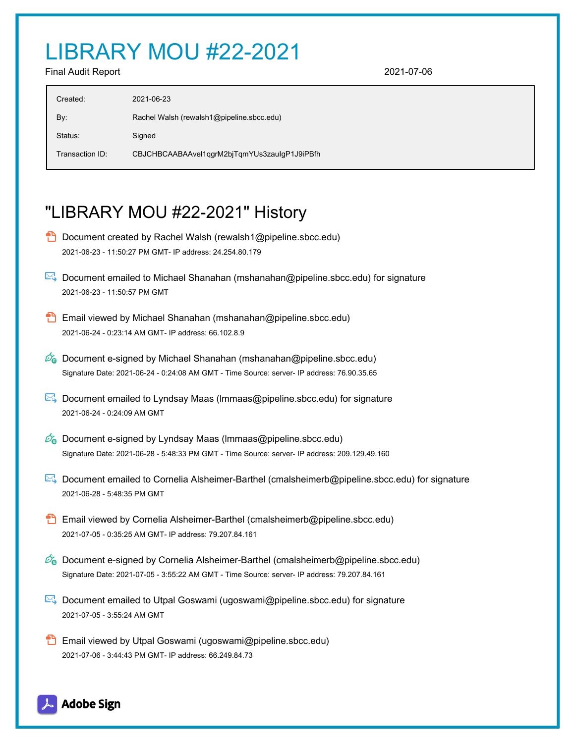## LIBRARY MOU #22-2021

Final Audit Report 2021-07-06

| Created:        | 2021-06-23                                   |
|-----------------|----------------------------------------------|
| By:             | Rachel Walsh (rewalsh1@pipeline.sbcc.edu)    |
| Status:         | Signed                                       |
| Transaction ID: | CBJCHBCAABAAvel1qgrM2bjTqmYUs3zauIgP1J9iPBfh |

## "LIBRARY MOU #22-2021" History

- **D** Document created by Rachel Walsh (rewalsh1@pipeline.sbcc.edu) 2021-06-23 - 11:50:27 PM GMT- IP address: 24.254.80.179
- Document emailed to Michael Shanahan (mshanahan@pipeline.sbcc.edu) for signature 2021-06-23 - 11:50:57 PM GMT
- Email viewed by Michael Shanahan (mshanahan@pipeline.sbcc.edu) 2021-06-24 - 0:23:14 AM GMT- IP address: 66.102.8.9
- $\mathscr{O}_\bullet$  Document e-signed by Michael Shanahan (mshanahan@pipeline.sbcc.edu) Signature Date: 2021-06-24 - 0:24:08 AM GMT - Time Source: server- IP address: 76.90.35.65
- $\mathbb{R}$  Document emailed to Lyndsay Maas (Immaas@pipeline.sbcc.edu) for signature 2021-06-24 - 0:24:09 AM GMT
- $\mathscr{A}_{\mathbf{G}}$  Document e-signed by Lyndsay Maas (Immaas@pipeline.sbcc.edu) Signature Date: 2021-06-28 - 5:48:33 PM GMT - Time Source: server- IP address: 209.129.49.160
- Document emailed to Cornelia Alsheimer-Barthel (cmalsheimerb@pipeline.sbcc.edu) for signature 2021-06-28 - 5:48:35 PM GMT
- **Email viewed by Cornelia Alsheimer-Barthel (cmalsheimerb@pipeline.sbcc.edu)** 2021-07-05 - 0:35:25 AM GMT- IP address: 79.207.84.161
- **Document e-signed by Cornelia Alsheimer-Barthel (cmalsheimerb@pipeline.sbcc.edu)** Signature Date: 2021-07-05 - 3:55:22 AM GMT - Time Source: server- IP address: 79.207.84.161
- Document emailed to Utpal Goswami (ugoswami@pipeline.sbcc.edu) for signature 2021-07-05 - 3:55:24 AM GMT
- **Email viewed by Utpal Goswami (ugoswami@pipeline.sbcc.edu)** 2021-07-06 - 3:44:43 PM GMT- IP address: 66.249.84.73